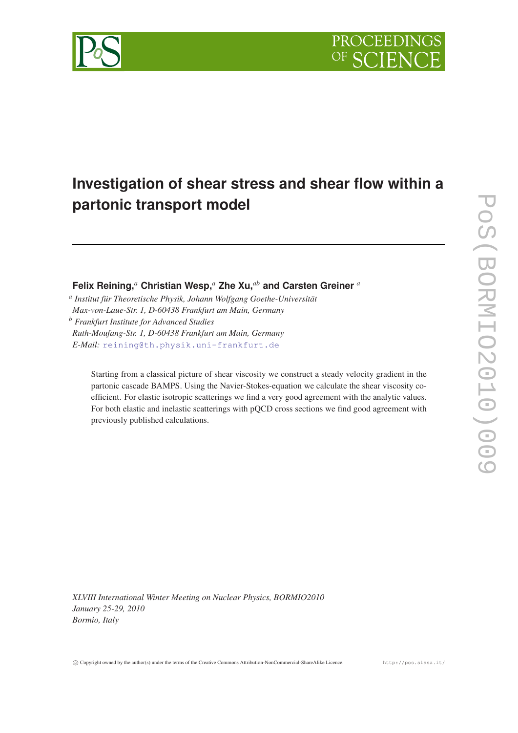

# **Investigation of shear stress and shear flow within a partonic transport model**

**Felix Reining,***<sup>a</sup>* **Christian Wesp,***<sup>a</sup>* **Zhe Xu,***ab* **and Carsten Greiner** *<sup>a</sup>*

*a Institut für Theoretische Physik, Johann Wolfgang Goethe-Universität Max-von-Laue-Str. 1, D-60438 Frankfurt am Main, Germany*

*<sup>b</sup> Frankfurt Institute for Advanced Studies Ruth-Moufang-Str. 1, D-60438 Frankfurt am Main, Germany E-Mail:* [reining@th.physik.uni-frankfurt.de](mailto:reining@th.physik.uni-frankfurt.de)

> Starting from a classical picture of shear viscosity we construct a steady velocity gradient in the partonic cascade BAMPS. Using the Navier-Stokes-equation we calculate the shear viscosity coefficient. For elastic isotropic scatterings we find a very good agreement with the analytic values. For both elastic and inelastic scatterings with pQCD cross sections we find good agreement with previously published calculations.

*XLVIII International Winter Meeting on Nuclear Physics, BORMIO2010 January 25-29, 2010 Bormio, Italy*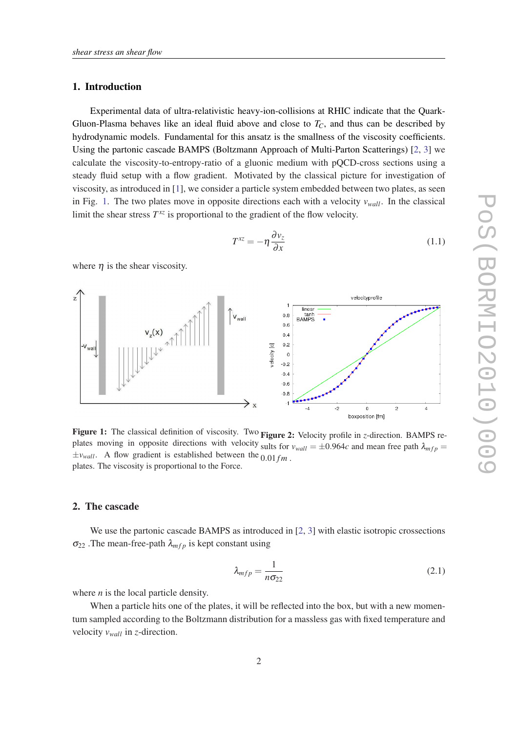# <span id="page-1-0"></span>1. Introduction

Experimental data of ultra-relativistic heavy-ion-collisions at RHIC indicate that the Quark-Gluon-Plasma behaves like an ideal fluid above and close to  $T_c$ , and thus can be described by hydrodynamic models. Fundamental for this ansatz is the smallness of the viscosity coefficients. Using the partonic cascade BAMPS (Boltzmann Approach of Multi-Parton Scatterings) [[2](#page-4-0), [3](#page-4-0)] we calculate the viscosity-to-entropy-ratio of a gluonic medium with pQCD-cross sections using a steady fluid setup with a flow gradient. Motivated by the classical picture for investigation of viscosity, as introduced in [[1](#page-4-0)], we consider a particle system embedded between two plates, as seen in Fig. 1. The two plates move in opposite directions each with a velocity  $v_{wall}$ . In the classical limit the shear stress  $T^{xz}$  is proportional to the gradient of the flow velocity.

$$
T^{xz} = -\eta \frac{\partial v_z}{\partial x} \tag{1.1}
$$

where  $\eta$  is the shear viscosity.



Figure 1: The classical definition of viscosity. Two Figure 2: Velocity profile in *z*-direction. BAMPS replates moving in opposite directions with velocity sults for  $v_{wall} = \pm 0.964c$  and mean free path  $\lambda_{mfp}$  $\pm v_{wall}$ . A flow gradient is established between the  $0.01 fm$ . plates. The viscosity is proportional to the Force.

# 2. The cascade

We use the partonic cascade BAMPS as introduced in [\[2,](#page-4-0) [3](#page-4-0)] with elastic isotropic crossections  $\sigma_{22}$ . The mean-free-path  $\lambda_{mfp}$  is kept constant using

$$
\lambda_{mfp} = \frac{1}{n\sigma_{22}}\tag{2.1}
$$

where *n* is the local particle density.

When a particle hits one of the plates, it will be reflected into the box, but with a new momentum sampled according to the Boltzmann distribution for a massless gas with fixed temperature and velocity *vwall* in *z*-direction.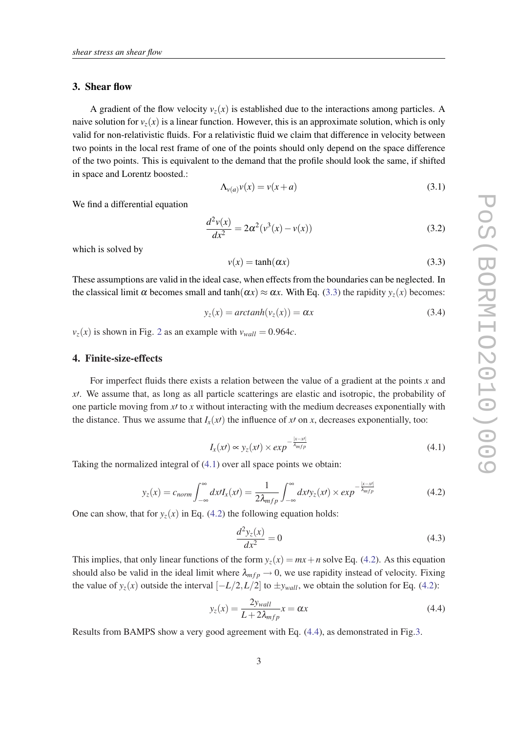# <span id="page-2-0"></span>3. Shear flow

A gradient of the flow velocity  $v_z(x)$  is established due to the interactions among particles. A naive solution for  $v_z(x)$  is a linear function. However, this is an approximate solution, which is only valid for non-relativistic fluids. For a relativistic fluid we claim that difference in velocity between two points in the local rest frame of one of the points should only depend on the space difference of the two points. This is equivalent to the demand that the profile should look the same, if shifted in space and Lorentz boosted.:

$$
\Lambda_{\nu(a)}\nu(x) = \nu(x+a) \tag{3.1}
$$

We find a differential equation

$$
\frac{d^2v(x)}{dx^2} = 2\alpha^2(v^3(x) - v(x))
$$
\n(3.2)

which is solved by

$$
v(x) = \tanh(\alpha x) \tag{3.3}
$$

These assumptions are valid in the ideal case, when effects from the boundaries can be neglected. In the classical limit  $\alpha$  becomes small and tanh( $\alpha x$ )  $\approx \alpha x$ . With Eq. (3.3) the rapidity  $y_z(x)$  becomes:

$$
y_z(x) = arctanh(v_z(x)) = \alpha x \tag{3.4}
$$

 $v_z(x)$  is shown in Fig. [2](#page-1-0) as an example with  $v_{wall} = 0.964c$ .

# 4. Finite-size-effects

For imperfect fluids there exists a relation between the value of a gradient at the points *x* and *x*<sup> $\chi$ </sup>. We assume that, as long as all particle scatterings are elastic and isotropic, the probability of one particle moving from  $x/$  to  $x$  without interacting with the medium decreases exponentially with the distance. Thus we assume that  $I_x(x)$  the influence of  $x$  on  $x$ , decreases exponentially, too:

$$
I_x(xt) \propto y_z(xt) \times exp^{-\frac{|x-xt|}{\lambda_{mfp}}} \tag{4.1}
$$

Taking the normalized integral of (4.1) over all space points we obtain:

$$
y_z(x) = c_{norm} \int_{-\infty}^{\infty} dx I_x(x) = \frac{1}{2\lambda_{mfp}} \int_{-\infty}^{\infty} dx I y_z(x) \times exp^{-\frac{|x - x|}{\lambda_{mfp}}} \tag{4.2}
$$

One can show, that for  $y_z(x)$  in Eq. (4.2) the following equation holds:

$$
\frac{d^2y_z(x)}{dx^2} = 0\tag{4.3}
$$

This implies, that only linear functions of the form  $y_z(x) = mx + n$  solve Eq. (4.2). As this equation should also be valid in the ideal limit where  $\lambda_{mfp} \rightarrow 0$ , we use rapidity instead of velocity. Fixing the value of  $y_z(x)$  outside the interval  $[-L/2, L/2]$  to  $\pm y_{wall}$ , we obtain the solution for Eq. (4.2):

$$
y_z(x) = \frac{2y_{wall}}{L + 2\lambda_{mfp}} x = \alpha x \tag{4.4}
$$

Results from BAMPS show a very good agreement with Eq. (4.4), as demonstrated in Fig.[3](#page-3-0).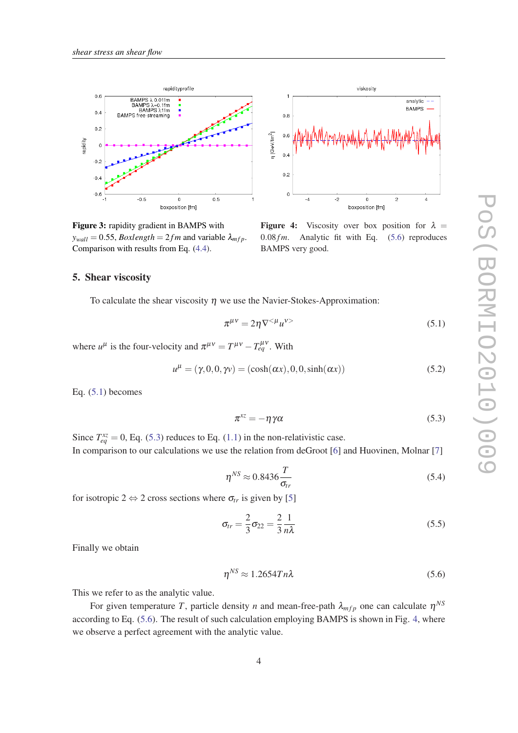<span id="page-3-0"></span>



Figure 3: rapidity gradient in BAMPS with  $y_{wall} = 0.55$ , *Boxlength* = 2*fm* and variable  $\lambda_{mfp}$ . Comparison with results from Eq. [\(4.4\)](#page-2-0).

**Figure 4:** Viscosity over box position for  $\lambda =$  $0.08$  *fm*. Analytic fit with Eq.  $(5.6)$  reproduces BAMPS very good.

### 5. Shear viscosity

To calculate the shear viscosity  $n$  we use the Navier-Stokes-Approximation:

$$
\pi^{\mu\nu} = 2\eta \nabla^{<\mu} u^{\nu>} \tag{5.1}
$$

where  $u^{\mu}$  is the four-velocity and  $\pi^{\mu\nu} = T^{\mu\nu} - T^{\mu\nu}_{eq}$ . With

$$
u^{\mu} = (\gamma, 0, 0, \gamma \nu) = (\cosh(\alpha x), 0, 0, \sinh(\alpha x))
$$
\n(5.2)

Eq.  $(5.1)$  becomes

$$
\pi^{xz} = -\eta \gamma \alpha \tag{5.3}
$$

Since  $T_{eq}^{xz} = 0$ , Eq. (5.3) reduces to Eq. [\(1.1\)](#page-1-0) in the non-relativistic case. In comparison to our calculations we use the relation from deGroot [[6](#page-4-0)] and Huovinen, Molnar [\[7\]](#page-4-0)

$$
\eta^{NS} \approx 0.8436 \frac{T}{\sigma_{tr}} \tag{5.4}
$$

for isotropic 2  $\Leftrightarrow$  2 cross sections where  $\sigma_{tr}$  is given by [[5\]](#page-4-0)

$$
\sigma_{tr} = \frac{2}{3}\sigma_{22} = \frac{2}{3}\frac{1}{n\lambda} \tag{5.5}
$$

Finally we obtain

$$
\eta^{NS} \approx 1.2654Tn\lambda\tag{5.6}
$$

This we refer to as the analytic value.

For given temperature T, particle density *n* and mean-free-path  $\lambda_{mfp}$  one can calculate  $\eta^{NS}$ according to Eq. (5.6). The result of such calculation employing BAMPS is shown in Fig. 4, where we observe a perfect agreement with the analytic value.